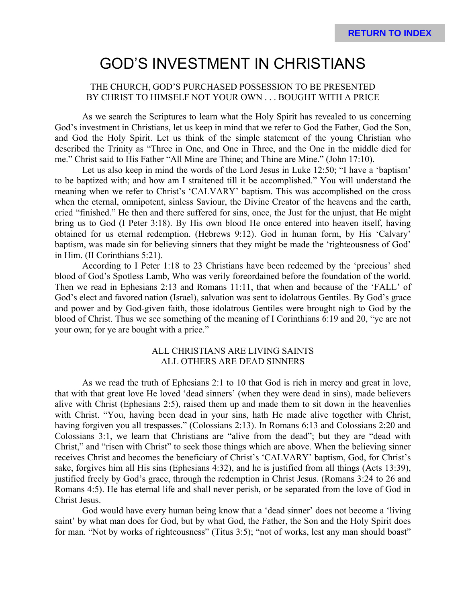# GOD'S INVESTMENT IN CHRISTIANS

## THE CHURCH, GOD'S PURCHASED POSSESSION TO BE PRESENTED BY CHRIST TO HIMSELF NOT YOUR OWN . . . BOUGHT WITH A PRICE

As we search the Scriptures to learn what the Holy Spirit has revealed to us concerning God's investment in Christians, let us keep in mind that we refer to God the Father, God the Son, and God the Holy Spirit. Let us think of the simple statement of the young Christian who described the Trinity as "Three in One, and One in Three, and the One in the middle died for me." Christ said to His Father "All Mine are Thine; and Thine are Mine." (John 17:10).

Let us also keep in mind the words of the Lord Jesus in Luke 12:50; "I have a 'baptism' to be baptized with; and how am I straitened till it be accomplished." You will understand the meaning when we refer to Christ's 'CALVARY' baptism. This was accomplished on the cross when the eternal, omnipotent, sinless Saviour, the Divine Creator of the heavens and the earth, cried "finished." He then and there suffered for sins, once, the Just for the unjust, that He might bring us to God (I Peter 3:18). By His own blood He once entered into heaven itself, having obtained for us eternal redemption. (Hebrews 9:12). God in human form, by His 'Calvary' baptism, was made sin for believing sinners that they might be made the 'righteousness of God' in Him. (II Corinthians 5:21).

According to I Peter 1:18 to 23 Christians have been redeemed by the 'precious' shed blood of God's Spotless Lamb, Who was verily foreordained before the foundation of the world. Then we read in Ephesians 2:13 and Romans 11:11, that when and because of the 'FALL' of God's elect and favored nation (Israel), salvation was sent to idolatrous Gentiles. By God's grace and power and by God-given faith, those idolatrous Gentiles were brought nigh to God by the blood of Christ. Thus we see something of the meaning of I Corinthians 6:19 and 20, "ye are not your own; for ye are bought with a price."

#### ALL CHRISTIANS ARE LIVING SAINTS ALL OTHERS ARE DEAD SINNERS

As we read the truth of Ephesians 2:1 to 10 that God is rich in mercy and great in love, that with that great love He loved 'dead sinners' (when they were dead in sins), made believers alive with Christ (Ephesians 2:5), raised them up and made them to sit down in the heavenlies with Christ. "You, having been dead in your sins, hath He made alive together with Christ, having forgiven you all trespasses." (Colossians 2:13). In Romans 6:13 and Colossians 2:20 and Colossians 3:1, we learn that Christians are "alive from the dead"; but they are "dead with Christ," and "risen with Christ" to seek those things which are above. When the believing sinner receives Christ and becomes the beneficiary of Christ's 'CALVARY' baptism, God, for Christ's sake, forgives him all His sins (Ephesians 4:32), and he is justified from all things (Acts 13:39), justified freely by God's grace, through the redemption in Christ Jesus. (Romans 3:24 to 26 and Romans 4:5). He has eternal life and shall never perish, or be separated from the love of God in Christ Jesus.

God would have every human being know that a 'dead sinner' does not become a 'living saint' by what man does for God, but by what God, the Father, the Son and the Holy Spirit does for man. "Not by works of righteousness" (Titus 3:5); "not of works, lest any man should boast"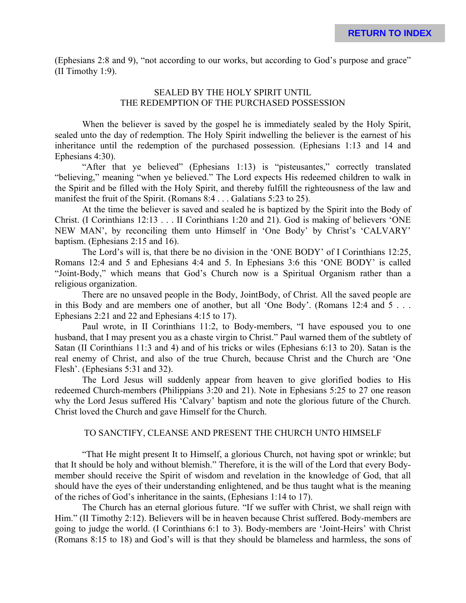(Ephesians 2:8 and 9), "not according to our works, but according to God's purpose and grace" (II Timothy 1:9).

## SEALED BY THE HOLY SPIRIT UNTIL THE REDEMPTION OF THE PURCHASED POSSESSION

When the believer is saved by the gospel he is immediately sealed by the Holy Spirit, sealed unto the day of redemption. The Holy Spirit indwelling the believer is the earnest of his inheritance until the redemption of the purchased possession. (Ephesians 1:13 and 14 and Ephesians 4:30).

"After that ye believed" (Ephesians 1:13) is "pisteusantes," correctly translated "believing," meaning "when ye believed." The Lord expects His redeemed children to walk in the Spirit and be filled with the Holy Spirit, and thereby fulfill the righteousness of the law and manifest the fruit of the Spirit. (Romans 8:4 . . . Galatians 5:23 to 25).

At the time the believer is saved and sealed he is baptized by the Spirit into the Body of Christ. (I Corinthians 12:13 . . . II Corinthians 1:20 and 21). God is making of believers 'ONE NEW MAN', by reconciling them unto Himself in 'One Body' by Christ's 'CALVARY' baptism. (Ephesians 2:15 and 16).

The Lord's will is, that there be no division in the 'ONE BODY' of I Corinthians 12:25, Romans 12:4 and 5 and Ephesians 4:4 and 5. In Ephesians 3:6 this 'ONE BODY' is called "Joint-Body," which means that God's Church now is a Spiritual Organism rather than a religious organization.

There are no unsaved people in the Body, JointBody, of Christ. All the saved people are in this Body and are members one of another, but all 'One Body'. (Romans 12:4 and 5 . . . Ephesians 2:21 and 22 and Ephesians 4:15 to 17).

Paul wrote, in II Corinthians 11:2, to Body-members, "I have espoused you to one husband, that I may present you as a chaste virgin to Christ." Paul warned them of the subtlety of Satan (II Corinthians 11:3 and 4) and of his tricks or wiles (Ephesians 6:13 to 20). Satan is the real enemy of Christ, and also of the true Church, because Christ and the Church are 'One Flesh'. (Ephesians 5:31 and 32).

The Lord Jesus will suddenly appear from heaven to give glorified bodies to His redeemed Church-members (Philippians 3:20 and 21). Note in Ephesians 5:25 to 27 one reason why the Lord Jesus suffered His 'Calvary' baptism and note the glorious future of the Church. Christ loved the Church and gave Himself for the Church.

### TO SANCTIFY, CLEANSE AND PRESENT THE CHURCH UNTO HIMSELF

"That He might present It to Himself, a glorious Church, not having spot or wrinkle; but that It should be holy and without blemish." Therefore, it is the will of the Lord that every Bodymember should receive the Spirit of wisdom and revelation in the knowledge of God, that all should have the eyes of their understanding enlightened, and be thus taught what is the meaning of the riches of God's inheritance in the saints, (Ephesians 1:14 to 17).

The Church has an eternal glorious future. "If we suffer with Christ, we shall reign with Him." (II Timothy 2:12). Believers will be in heaven because Christ suffered. Body-members are going to judge the world. (I Corinthians 6:1 to 3). Body-members are 'Joint-Heirs' with Christ (Romans 8:15 to 18) and God's will is that they should be blameless and harmless, the sons of